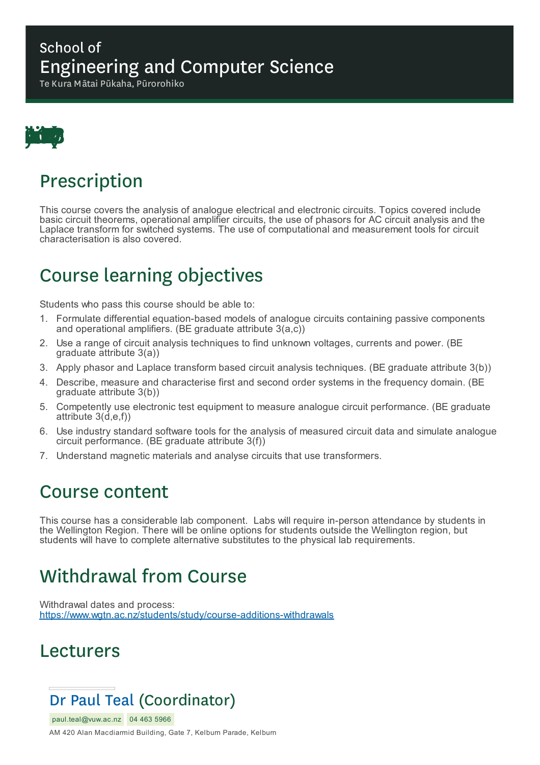#### School of Engineering and Computer Science

Te Kura Mātai Pūkaha, Pūrorohiko



#### Prescription

This course covers the analysis of analogue electrical and electronic circuits. Topics covered include basic circuit theorems, operational amplifier circuits, the use of phasors for AC circuit analysis and the Laplace transform for switched systems. The use of computational and measurement tools for circuit characterisation is also covered.

## Course learning objectives

Students who pass this course should be able to:

- 1. Formulate differential equation-based models of analogue circuits containing passive components and operational amplifiers. (BE graduate attribute 3(a,c))
- 2. Use a range of circuit analysis techniques to find unknown voltages, currents and power. (BE graduate attribute 3(a))
- 3. Apply phasor and Laplace transform based circuit analysis techniques. (BE graduate attribute 3(b))
- 4. Describe, measure and characterise first and second order systems in the frequency domain. (BE graduate attribute 3(b))
- 5. Competently use electronic test equipment to measure analogue circuit performance. (BE graduate attribute 3(d,e,f))
- 6. Use industry standard software tools for the analysis of measured circuit data and simulate analogue circuit performance. (BE graduate attribute 3(f))
- 7. Understand magnetic materials and analyse circuits that use transformers.

#### Course content

This course has a considerable lab component. Labs will require in-person attendance by students in the Wellington Region. There will be online options for students outside the Wellington region, but students will have to complete alternative substitutes to the physical lab requirements.

# Withdrawal from Course

Withdrawal dates and process: https://www.wgtn.ac.nz/students/study/course-additions-withdrawals

#### Lecturers

# Dr Paul Teal (Coordinator)

paul.teal@vuw.ac.nz 04 463 5966

AM 420 Alan Macdiarmid Building, Gate 7, Kelburn Parade, Kelburn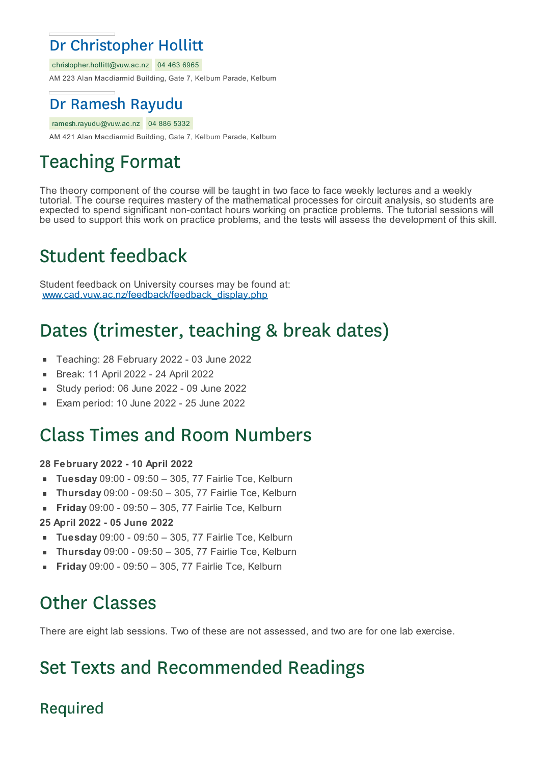#### Dr Christopher Hollitt

christopher.hollitt@vuw.ac.nz 04 463 6965 AM 223 Alan Macdiarmid Building, Gate 7, Kelburn Parade, Kelburn

#### Dr Ramesh Rayudu

ramesh.rayudu@vuw.ac.nz 04 886 5332 AM 421 Alan Macdiarmid Building, Gate 7, Kelburn Parade, Kelburn

# Teaching Format

The theory component of the course will be taught in two face to face weekly lectures and a weekly tutorial. The course requires mastery of the mathematical processes for circuit analysis, so students are expected to spend significant non-contact hours working on practice problems. The tutorial sessions will be used to support this work on practice problems, and the tests will assess the development of this skill.

## Student feedback

Student feedback on University courses may be found at: www.cad.vuw.ac.nz/feedback/feedback\_display.php

# Dates (trimester, teaching & break dates)

- Teaching: 28 February 2022 03 June 2022
- Break: 11 April 2022 24 April 2022  $\blacksquare$
- Study period: 06 June 2022 09 June 2022 ×
- Exam period: 10 June 2022 25 June 2022

#### Class Times and Room Numbers

#### **28 February 2022 - 10 April 2022**

- **Tuesday** 09:00 09:50 305, 77 Fairlie Tce, Kelburn
- **Thursday** 09:00 09:50 305, 77 Fairlie Tce, Kelburn  $\blacksquare$
- **Friday** 09:00 09:50 305, 77 Fairlie Tce, Kelburn  $\blacksquare$
- **25 April 2022 - 05 June 2022**
- **Tuesday** 09:00 09:50 305, 77 Fairlie Tce, Kelburn
- **Thursday** 09:00 09:50 305, 77 Fairlie Tce, Kelburn  $\blacksquare$
- **Friday** 09:00 09:50 305, 77 Fairlie Tce, Kelburn

## Other Classes

There are eight lab sessions. Two of these are not assessed, and two are for one lab exercise.

# Set Texts and Recommended Readings

#### Required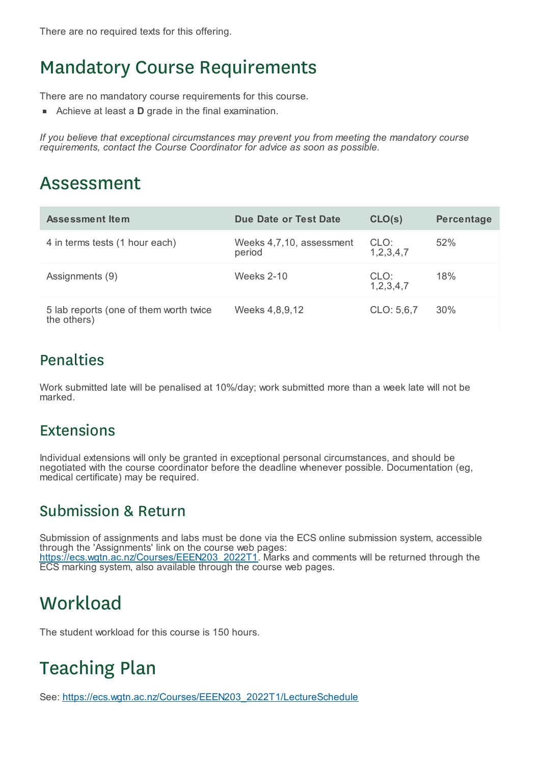## Mandatory Course Requirements

There are no mandatory course requirements for this course.

Achieve at least a **D** grade in the final examination.

*If you believe that exceptional circumstances may prevent you from meeting the mandatory course requirements, contact the Course Coordinator for advice as soon as possible.*

#### Assessment

| Assessment Item                                       | Due Date or Test Date              | CLO(s)                | Percentage |
|-------------------------------------------------------|------------------------------------|-----------------------|------------|
| 4 in terms tests (1 hour each)                        | Weeks 4,7,10, assessment<br>period | CLO:<br>1, 2, 3, 4, 7 | 52%        |
| Assignments (9)                                       | Weeks $2-10$                       | CLO:<br>1, 2, 3, 4, 7 | 18%        |
| 5 lab reports (one of them worth twice<br>the others) | Weeks 4,8,9,12                     | CLO: 5,6,7            | 30%        |

#### Penalties

Work submitted late will be penalised at 10%/day; work submitted more than a week late will not be marked.

#### Extensions

Individual extensions will only be granted in exceptional personal circumstances, and should be negotiated with the course coordinator before the deadline whenever possible. Documentation (eg, medical certificate) may be required.

#### Submission & Return

Submission of assignments and labs must be done via the ECS online submission system, accessible through the 'Assignments' link on the course web pages: https://ecs.wgtn.ac.nz/Courses/EEEN203\_2022T1. Marks and comments will be returned through the ECS marking system, also available through the course web pages.

## **Workload**

The student workload for this course is 150 hours.

# Teaching Plan

See: https://ecs.wgtn.ac.nz/Courses/EEEN203\_2022T1/LectureSchedule